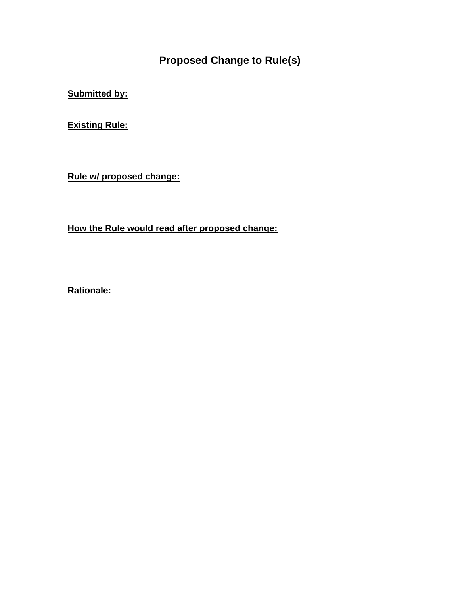**Proposed Change to Rule(s)**

**Submitted by:**

**Existing Rule:**

**Rule w/ proposed change:**

**How the Rule would read after proposed change:**

**Rationale:**